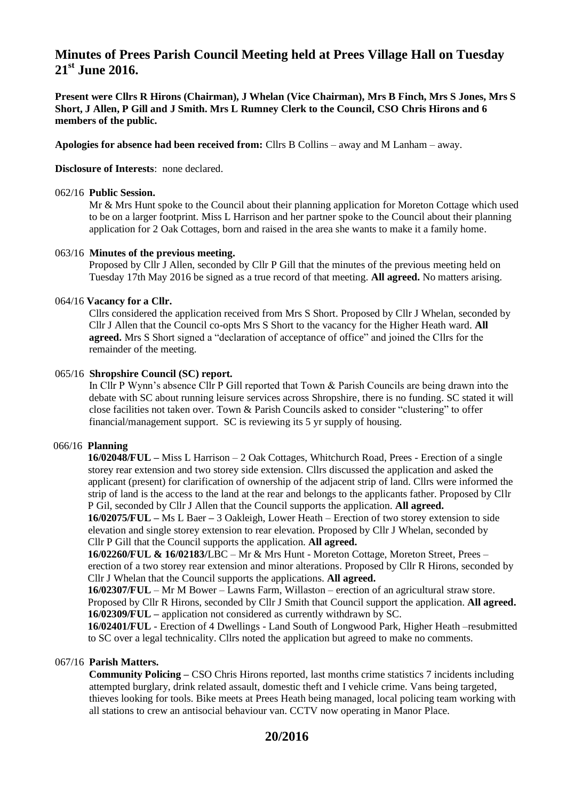# **Minutes of Prees Parish Council Meeting held at Prees Village Hall on Tuesday 21st June 2016.**

**Present were Cllrs R Hirons (Chairman), J Whelan (Vice Chairman), Mrs B Finch, Mrs S Jones, Mrs S Short, J Allen, P Gill and J Smith. Mrs L Rumney Clerk to the Council, CSO Chris Hirons and 6 members of the public.**

**Apologies for absence had been received from:** Cllrs B Collins – away and M Lanham – away.

**Disclosure of Interests**: none declared.

### 062/16 **Public Session.**

Mr & Mrs Hunt spoke to the Council about their planning application for Moreton Cottage which used to be on a larger footprint. Miss L Harrison and her partner spoke to the Council about their planning application for 2 Oak Cottages, born and raised in the area she wants to make it a family home.

### 063/16 **Minutes of the previous meeting.**

 Proposed by Cllr J Allen, seconded by Cllr P Gill that the minutes of the previous meeting held on Tuesday 17th May 2016 be signed as a true record of that meeting. **All agreed.** No matters arising.

### 064/16 **Vacancy for a Cllr.**

Cllrs considered the application received from Mrs S Short. Proposed by Cllr J Whelan, seconded by Cllr J Allen that the Council co-opts Mrs S Short to the vacancy for the Higher Heath ward. **All agreed.** Mrs S Short signed a "declaration of acceptance of office" and joined the Cllrs for the remainder of the meeting.

### 065/16 **Shropshire Council (SC) report.**

In Cllr P Wynn's absence Cllr P Gill reported that Town & Parish Councils are being drawn into the debate with SC about running leisure services across Shropshire, there is no funding. SC stated it will close facilities not taken over. Town & Parish Councils asked to consider "clustering" to offer financial/management support. SC is reviewing its 5 yr supply of housing.

### 066/16 **Planning**

 **16/02048/FUL –** Miss L Harrison – 2 Oak Cottages, Whitchurch Road, Prees - Erection of a single storey rear extension and two storey side extension. Cllrs discussed the application and asked the applicant (present) for clarification of ownership of the adjacent strip of land. Cllrs were informed the strip of land is the access to the land at the rear and belongs to the applicants father. Proposed by Cllr P Gil, seconded by Cllr J Allen that the Council supports the application. **All agreed.**

 **16/02075/FUL –** Ms L Baer **–** 3 Oakleigh, Lower Heath – Erection of two storey extension to side elevation and single storey extension to rear elevation. Proposed by Cllr J Whelan, seconded by Cllr P Gill that the Council supports the application. **All agreed.**

 **16/02260/FUL & 16/02183/**LBC – Mr & Mrs Hunt - Moreton Cottage, Moreton Street, Prees – erection of a two storey rear extension and minor alterations. Proposed by Cllr R Hirons, seconded by Cllr J Whelan that the Council supports the applications. **All agreed.**

 **16/02307/FUL** – Mr M Bower – Lawns Farm, Willaston – erection of an agricultural straw store. Proposed by Cllr R Hirons, seconded by Cllr J Smith that Council support the application. **All agreed. 16/02309/FUL –** application not considered as currently withdrawn by SC.

 **16/02401/FUL** - Erection of 4 Dwellings - Land South of Longwood Park, Higher Heath –resubmitted to SC over a legal technicality. Cllrs noted the application but agreed to make no comments.

#### 067/16 **Parish Matters.**

 **Community Policing –** CSO Chris Hirons reported, last months crime statistics 7 incidents including attempted burglary, drink related assault, domestic theft and I vehicle crime. Vans being targeted, thieves looking for tools. Bike meets at Prees Heath being managed, local policing team working with all stations to crew an antisocial behaviour van. CCTV now operating in Manor Place.

## **20/2016**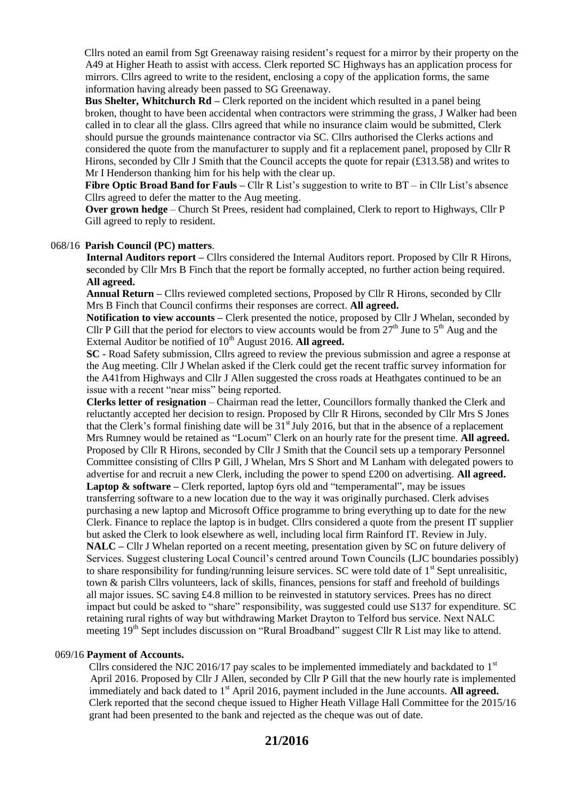Cllrs noted an eamil from Sgt Greenaway raising resident's request for a mirror by their property on the A49 at Higher Heath to assist with access. Clerk reported SC Highways has an application process for mirrors. Cllrs agreed to write to the resident, enclosing a copy of the application forms, the same information having already been passed to SG Greenaway.

**Bus Shelter, Whitchurch Rd** – Clerk reported on the incident which resulted in a panel being broken, thought to have been accidental when contractors were strimming the grass, J Walker had been called in to clear all the glass. Cllrs agreed that while no insurance claim would be submitted, Clerk should pursue the grounds maintenance contractor via SC. Cllrs authorised the Clerks actions and considered the quote from the manufacturer to supply and fit a replacement panel, proposed by Cllr R Hirons, seconded by Cllr J Smith that the Council accepts the quote for repair (£313.58) and writes to Mr I Henderson thanking him for his help with the clear up.

**Fibre Optic Broad Band for Fauls – Cllr** R List's suggestion to write to BT – in Cllr List's absence Cllrs agreed to defer the matter to the Aug meeting.

 **Over grown hedge** – Church St Prees, resident had complained, Clerk to report to Highways, Cllr P Gill agreed to reply to resident.

### 068/16 **Parish Council (PC) matters**.

 **Internal Auditors report –** Cllrs considered the Internal Auditors report. Proposed by Cllr R Hirons,  **s**econded by Cllr Mrs B Finch that the report be formally accepted, no further action being required. **All agreed.**

 **Annual Return –** Cllrs reviewed completed sections, Proposed by Cllr R Hirons, seconded by Cllr Mrs B Finch that Council confirms their responses are correct. **All agreed.** 

 **Notification to view accounts –** Clerk presented the notice, proposed by Cllr J Whelan, seconded by Cllr P Gill that the period for electors to view accounts would be from  $27<sup>th</sup>$  June to  $5<sup>th</sup>$  Aug and the External Auditor be notified of 10<sup>th</sup> August 2016. All agreed.

 **SC -** Road Safety submission, Cllrs agreed to review the previous submission and agree a response at the Aug meeting. Cllr J Whelan asked if the Clerk could get the recent traffic survey information for the A41from Highways and Cllr J Allen suggested the cross roads at Heathgates continued to be an issue with a recent "near miss" being reported.

**Clerks letter of resignation** – Chairman read the letter, Councillors formally thanked the Clerk and reluctantly accepted her decision to resign. Proposed by Cllr R Hirons, seconded by Cllr Mrs S Jones that the Clerk's formal finishing date will be  $31<sup>st</sup>$  July 2016, but that in the absence of a replacement Mrs Rumney would be retained as "Locum" Clerk on an hourly rate for the present time. **All agreed.** Proposed by Cllr R Hirons, seconded by Cllr J Smith that the Council sets up a temporary Personnel Committee consisting of Cllrs P Gill, J Whelan, Mrs S Short and M Lanham with delegated powers to advertise for and recruit a new Clerk, including the power to spend £200 on advertising. **All agreed. Laptop & software** – Clerk reported, laptop 6yrs old and "temperamental", may be issues transferring software to a new location due to the way it was originally purchased. Clerk advises purchasing a new laptop and Microsoft Office programme to bring everything up to date for the new Clerk. Finance to replace the laptop is in budget. Cllrs considered a quote from the present IT supplier but asked the Clerk to look elsewhere as well, including local firm Rainford IT. Review in July.  **NALC –** Cllr J Whelan reported on a recent meeting, presentation given by SC on future delivery of Services. Suggest clustering Local Council's centred around Town Councils (LJC boundaries possibly) to share responsibility for funding/running leisure services. SC were told date of  $1<sup>st</sup>$  Sept unrealisitic, town & parish Cllrs volunteers, lack of skills, finances, pensions for staff and freehold of buildings all major issues. SC saving £4.8 million to be reinvested in statutory services. Prees has no direct impact but could be asked to "share" responsibility, was suggested could use S137 for expenditure. SC retaining rural rights of way but withdrawing Market Drayton to Telford bus service. Next NALC meeting 19<sup>th</sup> Sept includes discussion on "Rural Broadband" suggest Cllr R List may like to attend.

### 069/16 **Payment of Accounts.**

Cllrs considered the NJC 2016/17 pay scales to be implemented immediately and backdated to  $1<sup>st</sup>$  April 2016. Proposed by Cllr J Allen, seconded by Cllr P Gill that the new hourly rate is implemented immediately and back dated to 1<sup>st</sup> April 2016, payment included in the June accounts. All agreed. Clerk reported that the second cheque issued to Higher Heath Village Hall Committee for the 2015/16 grant had been presented to the bank and rejected as the cheque was out of date.